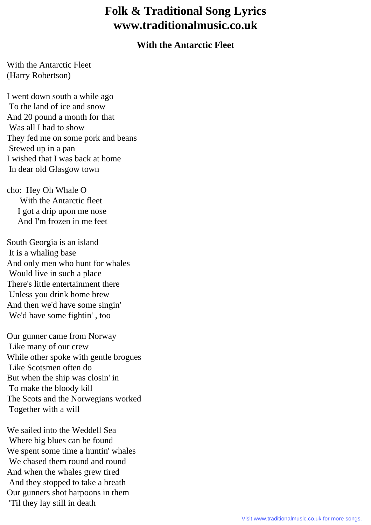## **Folk & Traditional Song Lyrics www.traditionalmusic.co.uk**

## **With the Antarctic Fleet**

With the Antarctic Fleet (Harry Robertson)

I went down south a while ago To the land of ice and snow And 20 pound a month for that Was all I had to show They fed me on some pork and beans Stewed up in a pan I wished that I was back at home In dear old Glasgow town

cho: Hey Oh Whale O With the Antarctic fleet I got a drip upon me nose And I'm frozen in me feet

South Georgia is an island It is a whaling base And only men who hunt for whales Would live in such a place There's little entertainment there Unless you drink home brew And then we'd have some singin' We'd have some fightin' , too

Our gunner came from Norway Like many of our crew While other spoke with gentle brogues Like Scotsmen often do But when the ship was closin' in To make the bloody kill The Scots and the Norwegians worked Together with a will

We sailed into the Weddell Sea Where big blues can be found We spent some time a huntin' whales We chased them round and round And when the whales grew tired And they stopped to take a breath Our gunners shot harpoons in them 'Til they lay still in death